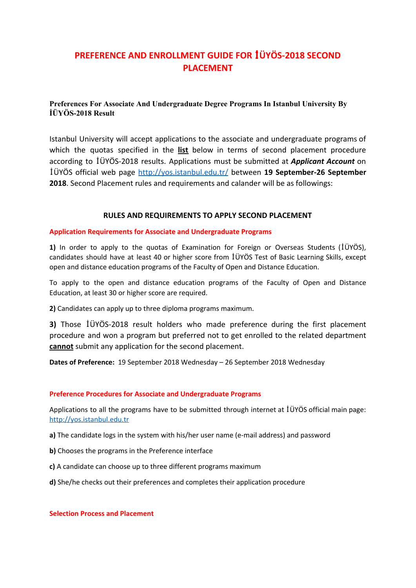# **PREFERENCE AND ENROLLMENT GUIDE FOR** İ**ÜYÖS-2018 SECOND PLACEMENT**

# **Preferences For Associate And Undergraduate Degree Programs In Istanbul University By İÜYÖS-2018 Result**

Istanbul University will accept applications to the associate and undergraduate programs of which the quotas specified in the **list** below in terms of second placement procedure according to İÜYÖS-2018 results. Applications must be submitted at *Applicant Account* on İÜYÖS official web page <http://yos.istanbul.edu.tr/> between **19 September-26 September 2018**. Second Placement rules and requirements and calander will be as followings:

## **RULES AND REQUIREMENTS TO APPLY SECOND PLACEMENT**

## **Application Requirements for Associate and Undergraduate Programs**

**1)** In order to apply to the quotas of Examination for Foreign or Overseas Students ( İÜYÖS), candidates should have at least 40 or higher score from İÜYÖS Test of Basic Learning Skills, except open and distance education programs of the Faculty of Open and Distance Education.

To apply to the open and distance education programs of the Faculty of Open and Distance Education, at least 30 or higher score are required.

**2)**Candidates can apply up to three diploma programs maximum.

**3)** Those İÜYÖS-2018 result holders who made preference during the first placement procedure and won a program but preferred not to get enrolled to the related department **cannot** submit any application for the second placement.

**Dates of Preference:** 19 September 2018 Wednesday – 26 September 2018 Wednesday

## **Preference Procedures for Associate and Undergraduate Programs**

Applications to all the programs have to be submitted through internet at İÜYÖS official main page: [http://yos.istanbul.edu.tr](http://yos.istanbul.edu.tr/)

- **a)**The candidate logs in the system with his/her user name (e-mail address) and password
- **b)** Chooses the programs in the Preference interface
- **c)**A candidate can choose up to three different programs maximum
- **d)**She/he checks out their preferences and completes their application procedure

#### **Selection Process and Placement**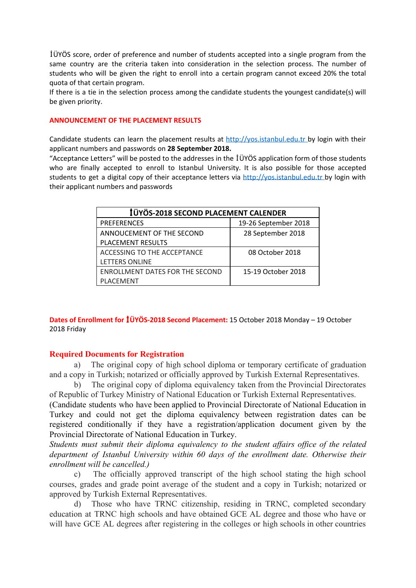İÜYÖS score, order of preference and number of students accepted into a single program from the same country are the criteria taken into consideration in the selection process. The number of students who will be given the right to enroll into a certain program cannot exceed 20% the total quota of that certain program.

If there is a tie in the selection process among the candidate students the youngest candidate(s) will be given priority.

## **ANNOUNCEMENT OF THE PLACEMENT RESULTS**

Candidate students can learn the placement results at [http://yos.istanbul.edu.tr](http://yos.istanbul.edu.tr/) by login with their applicant numbers and passwords on **28 September 2018.** 

"Acceptance Letters" will be posted to the addresses in the İÜYÖS application form of those students who are finally accepted to enroll to Istanbul University. It is also possible for those accepted students to get a digital copy of their acceptance letters via [http://yos.istanbul.edu.tr](http://yos.istanbul.edu.tr/) by login with their applicant numbers and passwords

| <b>İÜYÖS-2018 SECOND PLACEMENT CALENDER</b> |                      |
|---------------------------------------------|----------------------|
| <b>PREFERENCES</b>                          | 19-26 September 2018 |
| ANNOUCEMENT OF THE SECOND                   | 28 September 2018    |
| <b>PLACEMENT RESULTS</b>                    |                      |
| ACCESSING TO THE ACCEPTANCE                 | 08 October 2018      |
| <b>LETTERS ONLINE</b>                       |                      |
| <b>ENROLLMENT DATES FOR THE SECOND</b>      | 15-19 October 2018   |
| <b>PLACEMENT</b>                            |                      |

**Dates of Enrollment for** İ**ÜYÖS-2018 Second Placement:** 15 October 2018 Monday – 19 October 2018 Friday

#### **Required Documents for Registration**

a) The original copy of high school diploma or temporary certificate of graduation and a copy in Turkish; notarized or officially approved by Turkish External Representatives.

b) The original copy of diploma equivalency taken from the Provincial Directorates of Republic of Turkey Ministry of National Education or Turkish External Representatives.

(Candidate students who have been applied to Provincial Directorate of National Education in Turkey and could not get the diploma equivalency between registration dates can be registered conditionally if they have a registration/application document given by the Provincial Directorate of National Education in Turkey.

*Students must submit their diploma equivalency to the student affairs office of the related department of Istanbul University within 60 days of the enrollment date. Otherwise their enrollment will be cancelled.)* 

c) The officially approved transcript of the high school stating the high school courses, grades and grade point average of the student and a copy in Turkish; notarized or approved by Turkish External Representatives.

d) Those who have TRNC citizenship, residing in TRNC, completed secondary education at TRNC high schools and have obtained GCE AL degree and those who have or will have GCE AL degrees after registering in the colleges or high schools in other countries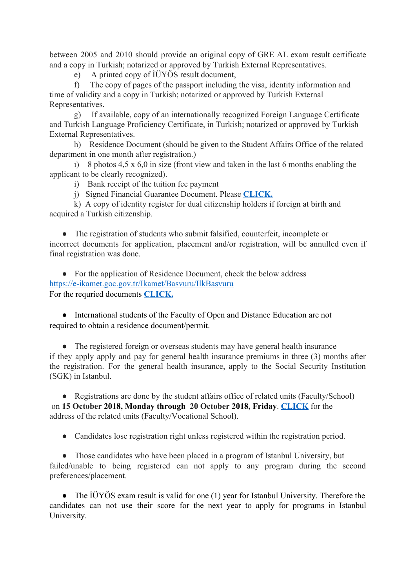between 2005 and 2010 should provide an original copy of GRE AL exam result certificate and a copy in Turkish; notarized or approved by Turkish External Representatives.

e) A printed copy of İÜYÖS result document,

f) The copy of pages of the passport including the visa, identity information and time of validity and a copy in Turkish; notarized or approved by Turkish External Representatives.

g) If available, copy of an internationally recognized Foreign Language Certificate and Turkish Language Proficiency Certificate, in Turkish; notarized or approved by Turkish External Representatives.

h) Residence Document (should be given to the Student Affairs Office of the related department in one month after registration.)

ı) 8 photos 4,5 x 6,0 in size (front view and taken in the last 6 months enabling the applicant to be clearly recognized).

i) Bank receipt of the tuition fee payment

j) Signed Financial Guarantee Document. Please **[CLICK.](http://cdn.istanbul.edu.tr/FileHandler2.ashx?f=financial-assurance-form.pdf)**

k) A copy of identity register for dual citizenship holders if foreign at birth and acquired a Turkish citizenship.

• The registration of students who submit falsified, counterfeit, incomplete or incorrect documents for application, placement and/or registration, will be annulled even if final registration was done.

• For the application of Residence Document, check the below address <https://e-ikamet.goc.gov.tr/Ikamet/Basvuru/IlkBasvuru> For the requried documents **[CLICK.](http://cdn.istanbul.edu.tr/FileHandler2.ashx?f=required-documents-for-residence-permit.pdf)** 

● International students of the Faculty of Open and Distance Education are not required to obtain a residence document/permit.

• The registered foreign or overseas students may have general health insurance if they apply apply and pay for general health insurance premiums in three (3) months after the registration. For the general health insurance, apply to the Social Security Institution (SGK) in Istanbul.

• Registrations are done by the student affairs office of related units (Faculty/School) on **15 October 2018, Mondaythrough 20 October 2018, Friday**. **[CLICK](http://cdn.istanbul.edu.tr/FileHandler2.ashx?f=birim-adresleri.pdf)**for the address of the related units (Faculty/Vocational School).

● Candidates lose registration right unless registered within the registration period.

• Those candidates who have been placed in a program of Istanbul University, but failed/unable to being registered can not apply to any program during the second preferences/placement.

• The IÜYÖS exam result is valid for one (1) year for Istanbul University. Therefore the candidates can not use their score for the next year to apply for programs in Istanbul University.